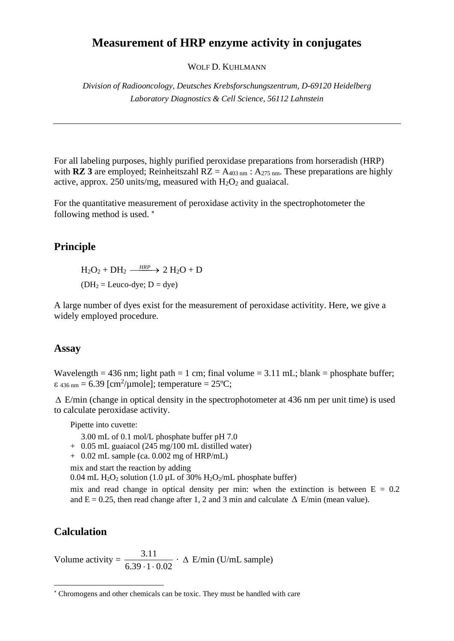# **Measurement of HRP enzyme activity in conjugates**

WOLF D. KUHLMANN

*Division of Radiooncology, Deutsches Krebsforschungszentrum, D-69120 Heidelberg Laboratory Diagnostics & Cell Science, 56112 Lahnstein*

For all labeling purposes, highly purified peroxidase preparations from horseradish (HRP) with **RZ 3** are employed; Reinheitszahl  $RZ = A_{403 \text{ nm}}$ :  $A_{275 \text{ nm}}$ . These preparations are highly active, approx. 250 units/mg, measured with  $H_2O_2$  and guaiacal.

For the quantitative measurement of peroxidase activity in the spectrophotometer the following method is used.

## **Principle**

 $H_2O_2 + DH_2 \xrightarrow{HRP} 2 H_2O + D$  $(DH<sub>2</sub> = Leuco-dye; D = dye)$ 

A large number of dyes exist for the measurement of peroxidase activitity. Here, we give a widely employed procedure.

### **Assay**

Wavelength = 436 nm; light path = 1 cm; final volume = 3.11 mL; blank = phosphate buffer;  $\varepsilon$  436 nm = 6.39 [cm<sup>2</sup>/µmole]; temperature = 25°C;

 $\Delta$  E/min (change in optical density in the spectrophotometer at 436 nm per unit time) is used to calculate peroxidase activity.

Pipette into cuvette:

3.00 mL of 0.1 mol/L phosphate buffer pH 7.0

- + 0.05 mL guaiacol (245 mg/100 mL distilled water)
- + 0.02 mL sample (ca. 0.002 mg of HRP/mL)

mix and start the reaction by adding

0.04 mL H<sub>2</sub>O<sub>2</sub> solution (1.0  $\mu$ L of 30% H<sub>2</sub>O<sub>2</sub>/mL phosphate buffer)

mix and read change in optical density per min: when the extinction is between  $E = 0.2$ and  $E = 0.25$ , then read change after 1, 2 and 3 min and calculate  $\Delta$  E/min (mean value).

### **Calculation**

Volume activity  $=$  $6.39 \cdot 1 \cdot 0.02$ 3.11  $\cdot$ 1. · E/min (U/mL sample)

Chromogens and other chemicals can be toxic. They must be handled with care